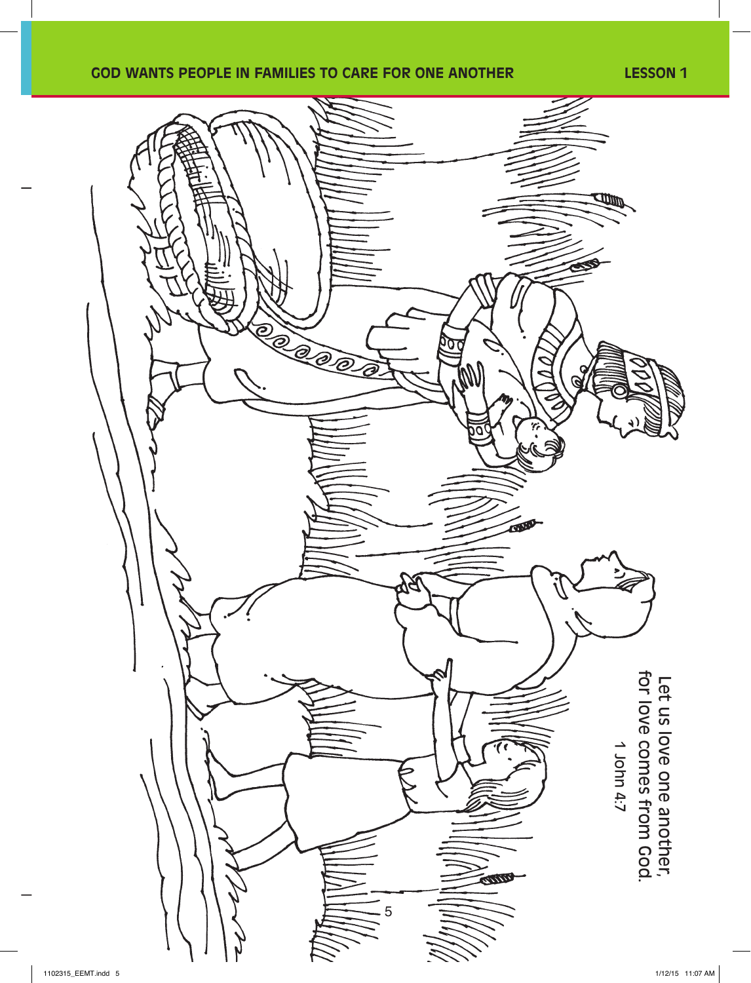## **GOD WANTS PEOPLE IN FAMILIES TO CARE FOR ONE ANOTHER LESSON 1**